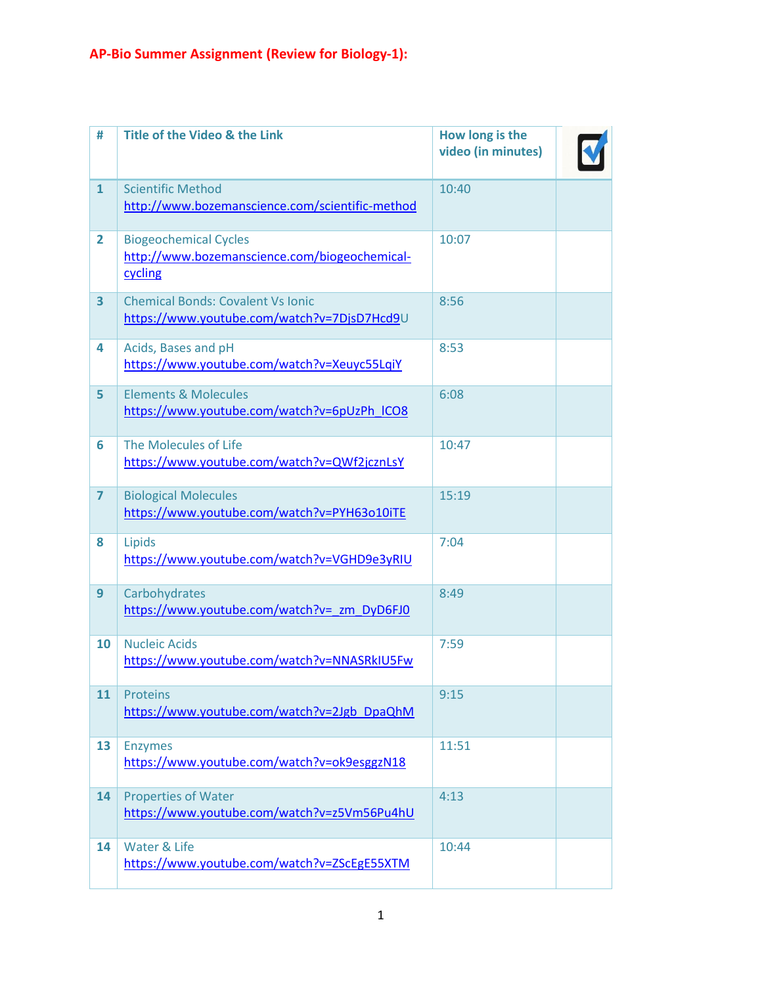## **AP-Bio Summer Assignment (Review for Biology-1):**

| #                       | Title of the Video & the Link                                                            | How long is the<br>video (in minutes) |
|-------------------------|------------------------------------------------------------------------------------------|---------------------------------------|
| $\mathbf{1}$            | <b>Scientific Method</b><br>http://www.bozemanscience.com/scientific-method              | 10:40                                 |
| $\overline{2}$          | <b>Biogeochemical Cycles</b><br>http://www.bozemanscience.com/biogeochemical-<br>cycling | 10:07                                 |
| $\overline{\mathbf{3}}$ | <b>Chemical Bonds: Covalent Vs Ionic</b><br>https://www.youtube.com/watch?v=7DjsD7Hcd9U  | 8:56                                  |
| 4                       | Acids, Bases and pH<br>https://www.youtube.com/watch?v=Xeuyc55LqiY                       | 8:53                                  |
| 5                       | <b>Elements &amp; Molecules</b><br>https://www.youtube.com/watch?v=6pUzPh ICO8           | 6:08                                  |
| 6                       | The Molecules of Life<br>https://www.youtube.com/watch?v=QWf2jcznLsY                     | 10:47                                 |
| $\overline{\mathbf{z}}$ | <b>Biological Molecules</b><br>https://www.youtube.com/watch?v=PYH63o10iTE               | 15:19                                 |
| 8                       | Lipids<br>https://www.youtube.com/watch?v=VGHD9e3yRIU                                    | 7:04                                  |
| 9                       | Carbohydrates<br>https://www.youtube.com/watch?v= zm DyD6FJ0                             | 8:49                                  |
| 10                      | <b>Nucleic Acids</b><br>https://www.youtube.com/watch?v=NNASRkIU5Fw                      | 7:59                                  |
| 11                      | <b>Proteins</b><br>https://www.youtube.com/watch?v=2Jgb_DpaQhM                           | 9:15                                  |
| 13                      | <b>Enzymes</b><br>https://www.youtube.com/watch?v=ok9esggzN18                            | 11:51                                 |
| 14                      | <b>Properties of Water</b><br>https://www.youtube.com/watch?v=z5Vm56Pu4hU                | 4:13                                  |
| 14                      | <b>Water &amp; Life</b><br>https://www.youtube.com/watch?v=ZScEgE55XTM                   | 10:44                                 |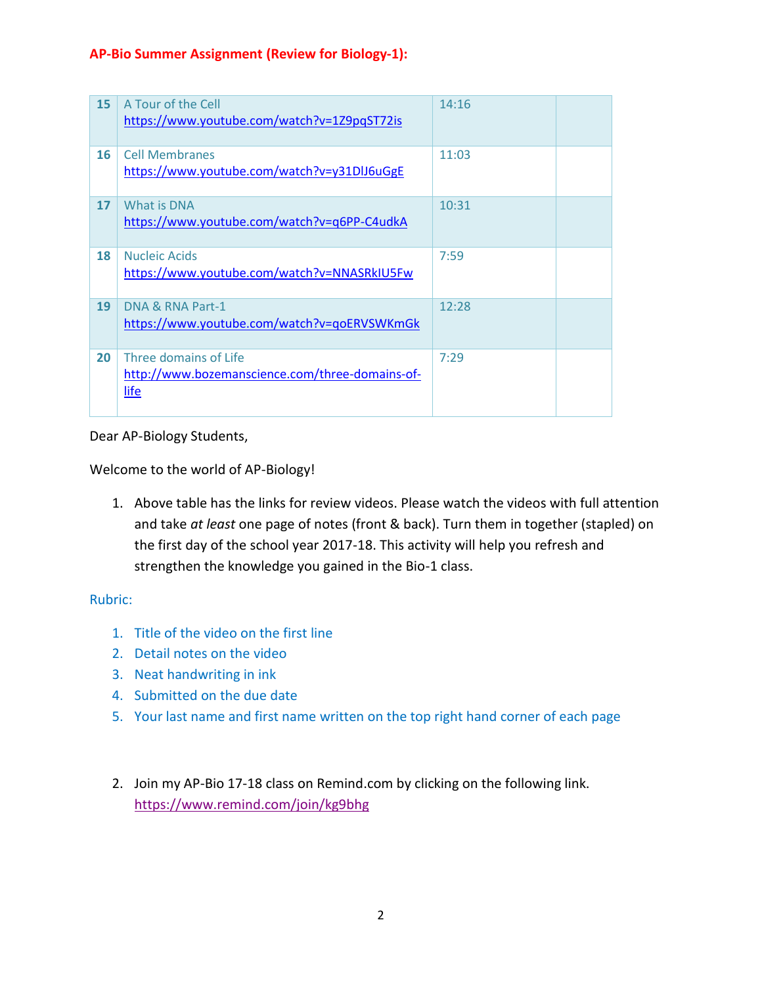## **AP-Bio Summer Assignment (Review for Biology-1):**

| 15 | A Tour of the Cell<br>https://www.youtube.com/watch?v=1Z9pqST72is                | 14:16 |  |
|----|----------------------------------------------------------------------------------|-------|--|
| 16 | <b>Cell Membranes</b><br>https://www.youtube.com/watch?v=y31DlJ6uGgE             | 11:03 |  |
| 17 | <b>What is DNA</b><br>https://www.youtube.com/watch?v=q6PP-C4udkA                | 10:31 |  |
| 18 | <b>Nucleic Acids</b><br>https://www.youtube.com/watch?v=NNASRkIU5Fw              | 7:59  |  |
| 19 | DNA & RNA Part-1<br>https://www.youtube.com/watch?v=qoERVSWKmGk                  | 12:28 |  |
| 20 | Three domains of Life<br>http://www.bozemanscience.com/three-domains-of-<br>life | 7:29  |  |

Dear AP-Biology Students,

Welcome to the world of AP-Biology!

1. Above table has the links for review videos. Please watch the videos with full attention and take *at least* one page of notes (front & back). Turn them in together (stapled) on the first day of the school year 2017-18. This activity will help you refresh and strengthen the knowledge you gained in the Bio-1 class.

Rubric:

- 1. Title of the video on the first line
- 2. Detail notes on the video
- 3. Neat handwriting in ink
- 4. Submitted on the due date
- 5. Your last name and first name written on the top right hand corner of each page
- 2. Join my AP-Bio 17-18 class on Remind.com by clicking on the following link. <https://www.remind.com/join/kg9bhg>